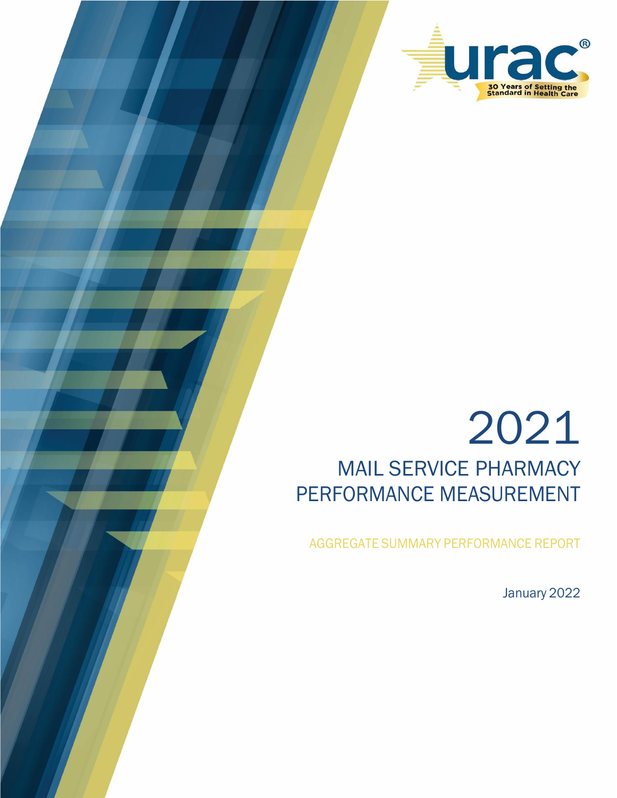

# 2021 MAIL SERVICE PHARMACY PERFORMANCE MEASUREMENT

AGGREGATE SUMMARY PERFORMANCE REPORT

January 2022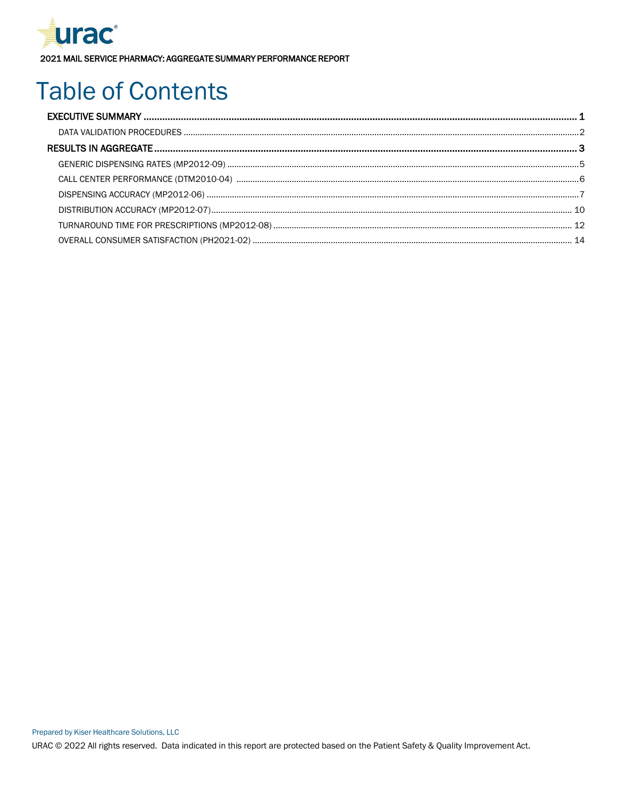

## **Table of Contents**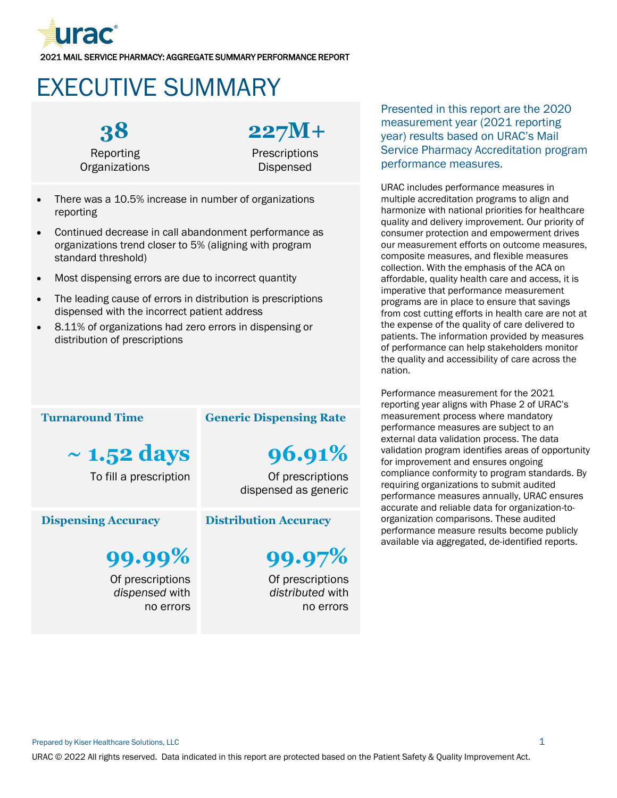

## <span id="page-2-0"></span>EXECUTIVE SUMMARY



**227M+**

**Prescriptions** Dispensed

- There was a 10.5% increase in number of organizations reporting
- Continued decrease in call abandonment performance as organizations trend closer to 5% (aligning with program standard threshold)
- Most dispensing errors are due to incorrect quantity
- The leading cause of errors in distribution is prescriptions dispensed with the incorrect patient address
- 8.11% of organizations had zero errors in dispensing or distribution of prescriptions

#### **Turnaround Time**

**~ 1.52 days**

To fill a prescription

#### **Dispensing Accuracy**

**99.99%** Of prescriptions

*dispensed* with no errors

### **Generic Dispensing Rate**

**96.91%**

Of prescriptions dispensed as generic

#### **Distribution Accuracy**

**99.97%**

Of prescriptions *distributed* with no errors

Presented in this report are the 2020 measurement year (2021 reporting year) results based on URAC's Mail Service Pharmacy Accreditation program performance measures.

URAC includes performance measures in multiple accreditation programs to align and harmonize with national priorities for healthcare quality and delivery improvement. Our priority of consumer protection and empowerment drives our measurement efforts on outcome measures, composite measures, and flexible measures collection. With the emphasis of the ACA on affordable, quality health care and access, it is imperative that performance measurement programs are in place to ensure that savings from cost cutting efforts in health care are not at the expense of the quality of care delivered to patients. The information provided by measures of performance can help stakeholders monitor the quality and accessibility of care across the nation.

Performance measurement for the 2021 reporting year aligns with Phase 2 of URAC's measurement process where mandatory performance measures are subject to an external data validation process. The data validation program identifies areas of opportunity for improvement and ensures ongoing compliance conformity to program standards. By requiring organizations to submit audited performance measures annually, URAC ensures accurate and reliable data for organization-toorganization comparisons. These audited performance measure results become publicly available via aggregated, de-identified reports.

Prepared by Kiser Healthcare Solutions, LLC 1 and 2 and 2 and 2 and 2 and 2 and 2 and 2 and 2 and 2 and 2 and 2 and 2 and 2 and 2 and 2 and 2 and 2 and 2 and 2 and 2 and 2 and 2 and 2 and 2 and 2 and 2 and 2 and 2 and 2 an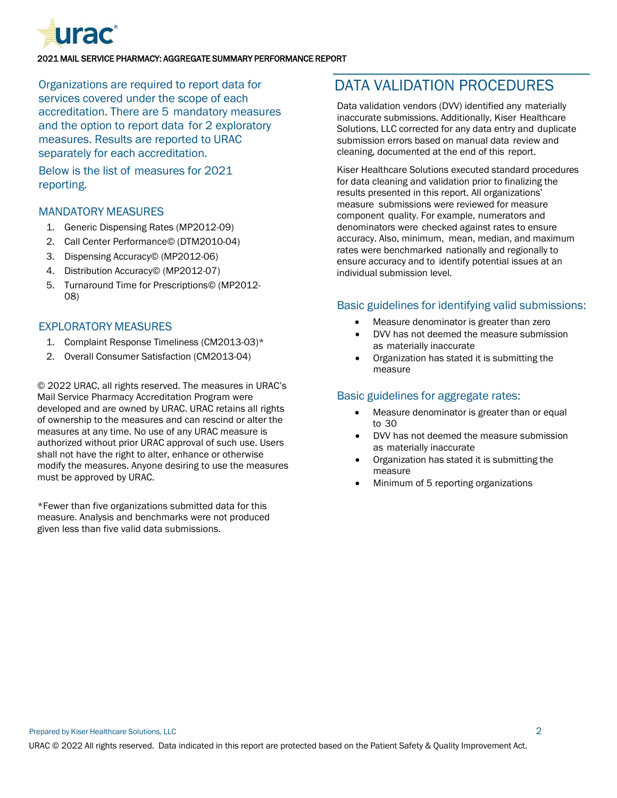

Organizations are required to report data for services covered under the scope of each accreditation. There are 5 mandatory measures and the option to report data for 2 exploratory measures. Results are reported to URAC separately for each accreditation.

Below is the list of measures for 2021 reporting.

#### MANDATORY MEASURES

- 1. Generic Dispensing Rates (MP2012-09)
- 2. Call Center Performance© (DTM2010-04)
- 3. Dispensing Accuracy© (MP2012-06)
- 4. Distribution Accuracy© (MP2012-07)
- 5. Turnaround Time for Prescriptions© (MP2012- 08)

#### EXPLORATORY MEASURES

- 1. Complaint Response Timeliness (CM2013-03)\*
- 2. Overall Consumer Satisfaction (CM2013-04)

© 2022 URAC, all rights reserved. The measures in URAC's Mail Service Pharmacy Accreditation Program were developed and are owned by URAC. URAC retains all rights of ownership to the measures and can rescind or alter the measures at any time. No use of any URAC measure is authorized without prior URAC approval of such use. Users shall not have the right to alter, enhance or otherwise modify the measures. Anyone desiring to use the measures must be approved by URAC.

\*Fewer than five organizations submitted data for this measure. Analysis and benchmarks were not produced given less than five valid data submissions.

## <span id="page-3-0"></span>DATA VALIDATION PROCEDURES

Data validation vendors (DVV) identified any materially inaccurate submissions. Additionally, Kiser Healthcare Solutions, LLC corrected for any data entry and duplicate submission errors based on manual data review and cleaning, documented at the end of this report.

Kiser Healthcare Solutions executed standard procedures for data cleaning and validation prior to finalizing the results presented in this report. All organizations' measure submissions were reviewed for measure component quality. For example, numerators and denominators were checked against rates to ensure accuracy. Also, minimum, mean, median, and maximum rates were benchmarked nationally and regionally to ensure accuracy and to identify potential issues at an individual submission level.

#### Basic guidelines for identifying valid submissions:

- Measure denominator is greater than zero
- DVV has not deemed the measure submission as materially inaccurate
- Organization has stated it is submitting the measure

#### Basic guidelines for aggregate rates:

- Measure denominator is greater than or equal to 30
- DVV has not deemed the measure submission as materially inaccurate
- Organization has stated it is submitting the measure
- Minimum of 5 reporting organizations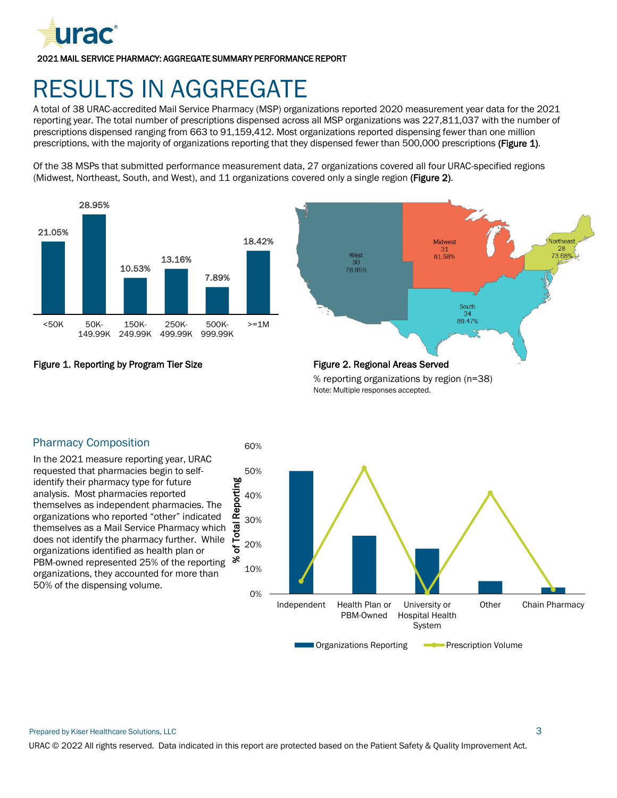

## <span id="page-4-0"></span>RESULTS IN AGGREGATE

A total of 38 URAC-accredited Mail Service Pharmacy (MSP) organizations reported 2020 measurement year data for the 2021 reporting year. The total number of prescriptions dispensed across all MSP organizations was 227,811,037 with the number of prescriptions dispensed ranging from 663 to 91,159,412. Most organizations reported dispensing fewer than one million prescriptions, with the majority of organizations reporting that they dispensed fewer than 500,000 prescriptions (Figure 1).

Of the 38 MSPs that submitted performance measurement data, 27 organizations covered all four URAC-specified regions (Midwest, Northeast, South, and West), and 11 organizations covered only a single region (Figure 2).







% reporting organizations by region (n=38) Note: Multiple responses accepted.



#### Pharmacy Composition

In the 2021 measure reporting year, URAC requested that pharmacies begin to selfidentify their pharmacy type for future analysis. Most pharmacies reported themselves as independent pharmacies. The organizations who reported "other" indicated themselves as a Mail Service Pharmacy which does not identify the pharmacy further. While organizations identified as health plan or PBM-owned represented 25% of the reporting  $\infty$ organizations, they accounted for more than 50% of the dispensing volume.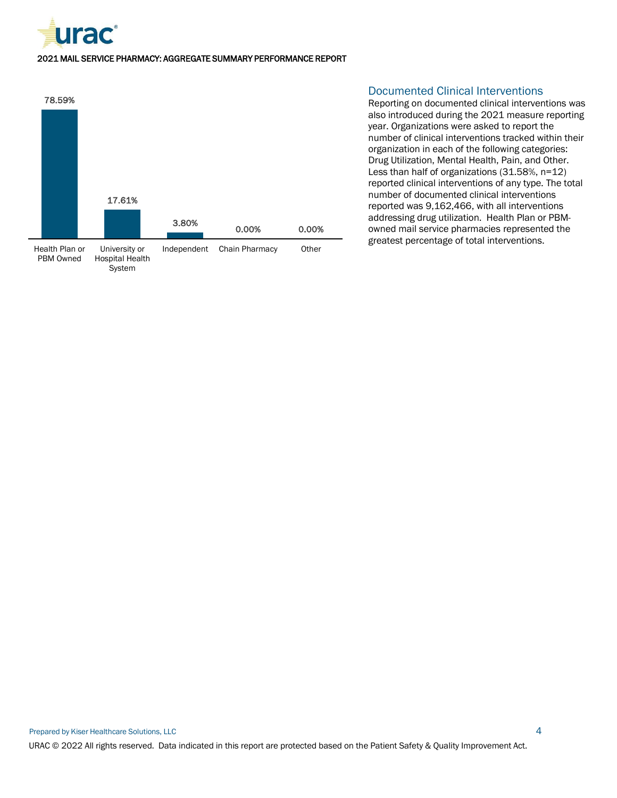



#### Documented Clinical Interventions

Reporting on documented clinical interventions was also introduced during the 2021 measure reporting year. Organizations were asked to report the number of clinical interventions tracked within their organization in each of the following categories: Drug Utilization, Mental Health, Pain, and Other. Less than half of organizations (31.58%, n=12) reported clinical interventions of any type. The total number of documented clinical interventions reported was 9,162,466, with all interventions addressing drug utilization. Health Plan or PBMowned mail service pharmacies represented the greatest percentage of total interventions.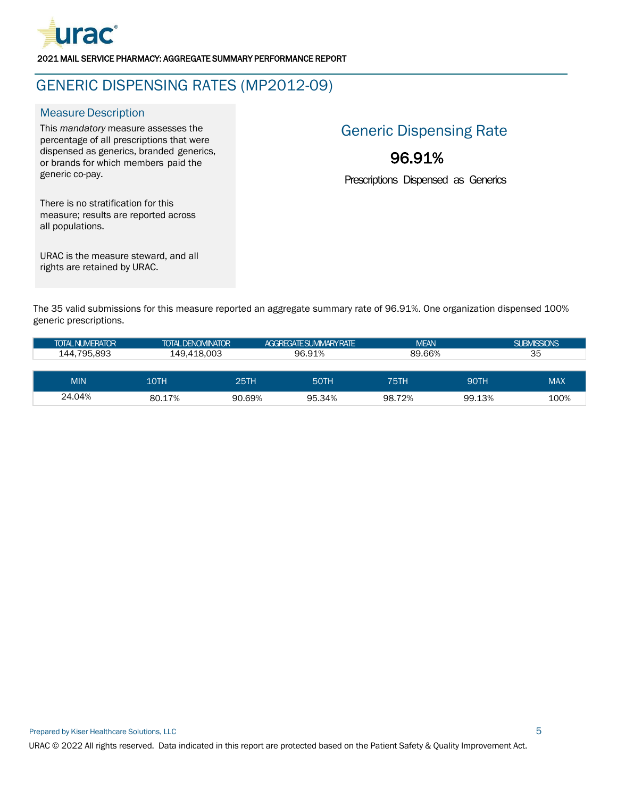

## <span id="page-6-0"></span>GENERIC DISPENSING RATES (MP2012-09)

#### **Measure Description**

This *mandatory* measure assesses the percentage of all prescriptions that were dispensed as generics, branded generics, or brands for which members paid the generic co-pay.

## Generic Dispensing Rate

## 96.91%

Prescriptions Dispensed as Generics

There is no stratification for this measure; results are reported across all populations.

URAC is the measure steward, and all rights are retained by URAC.

The 35 valid submissions for this measure reported an aggregate summary rate of 96.91%. One organization dispensed 100% generic prescriptions.

| <b>TOTAL NUMERATOR</b> | <b>TOTAL DENOMINATOR</b> |        | AGGREGATE SUMMARY RATE | <b>MEAN</b> |             | <b>SUBMISSIONS</b> |
|------------------------|--------------------------|--------|------------------------|-------------|-------------|--------------------|
| 144.795.893            | 149.418.003              |        | 96.91%                 | 89.66%      |             | 35                 |
|                        |                          |        |                        |             |             |                    |
| <b>MIN</b>             | 10TH                     | 25TH   | 50TH                   | 75TH        | <b>90TH</b> | <b>MAX</b>         |
| 24.04%                 | 80.17%                   | 90.69% | 95.34%                 | 98.72%      | 99.13%      | 100%               |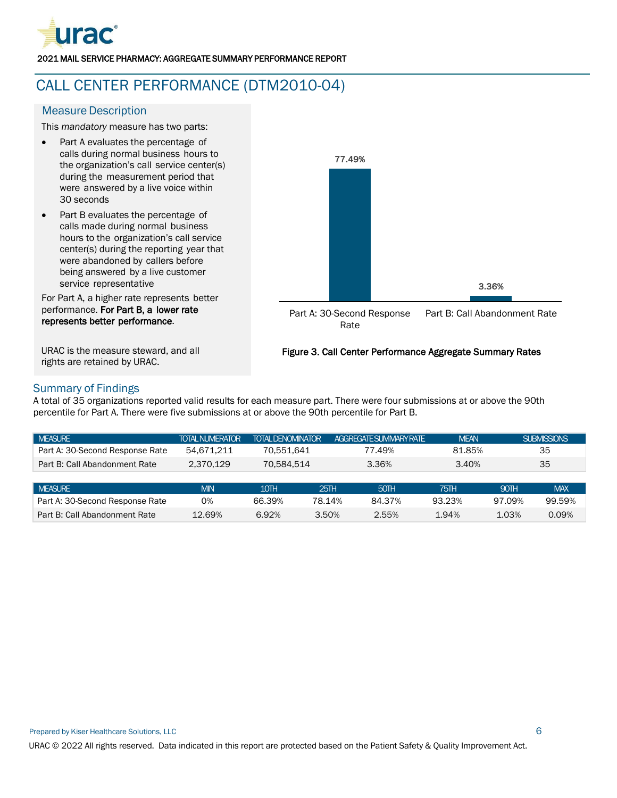

## <span id="page-7-0"></span>CALL CENTER PERFORMANCE (DTM2010-04)

#### **Measure Description**

This *mandatory* measure has two parts:

- Part A evaluates the percentage of calls during normal business hours to the organization's call service center(s) during the measurement period that were answered by a live voice within 30 seconds
- Part B evaluates the percentage of calls made during normal business hours to the organization's call service center(s) during the reporting year that were abandoned by callers before being answered by a live customer service representative

For Part A, a higher rate represents better performance. For Part B, a lower rate represents better performance.

URAC is the measure steward, and all rights are retained by URAC.



#### Figure 3. Call Center Performance Aggregate Summary Rates

#### Summary of Findings

A total of 35 organizations reported valid results for each measure part. There were four submissions at or above the 90th percentile for Part A. There were five submissions at or above the 90th percentile for Part B.

| <b>MEASURE</b>                  | <b>TOTAL NUMERATOR</b> | <b>TOTAL DENOMINATOR</b> |        | AGGRFGATE SUMMARY RATE | <b>MEAN</b> |        | <b>SUBMISSIONS</b> |
|---------------------------------|------------------------|--------------------------|--------|------------------------|-------------|--------|--------------------|
| Part A: 30-Second Response Rate | 54.671.211             | 70.551.641               |        | 77.49%                 | 81.85%      |        | 35                 |
| Part B: Call Abandonment Rate   | 2.370.129              | 70.584.514               |        | 3.36%                  | 3.40%       |        | 35                 |
|                                 |                        |                          |        |                        |             |        |                    |
| <b>MEASURE</b>                  | <b>MIN</b>             | 10TH                     | 25TH   | 50TH                   | 75TH        | 90TH   | <b>MAX</b>         |
| Part A: 30-Second Response Rate | 0%                     | 66.39%                   | 78.14% | 84.37%                 | 93.23%      | 97.09% | 99.59%             |
| Part B: Call Abandonment Rate   | 12.69%                 | 6.92%                    | 3.50%  | 2.55%                  | 1.94%       | 1.03%  | 0.09%              |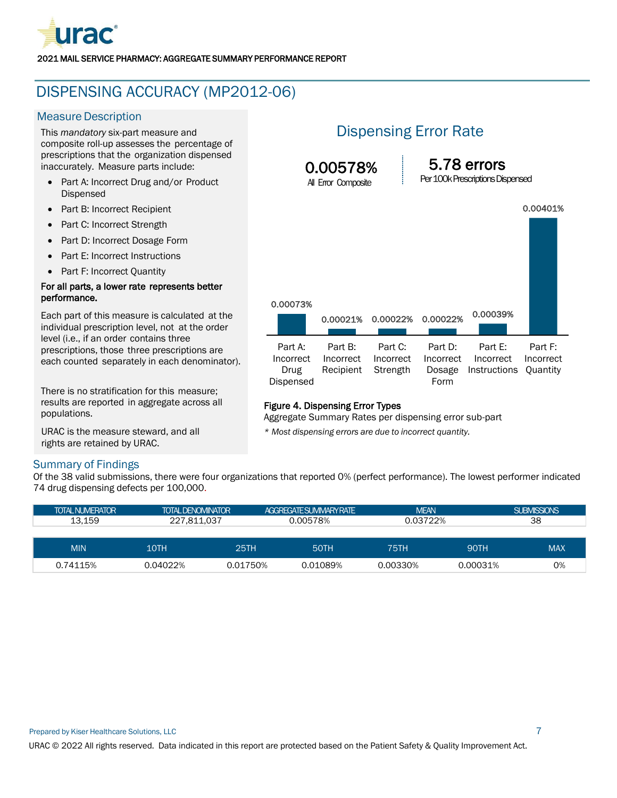

## <span id="page-8-0"></span>DISPENSING ACCURACY (MP2012-06)

#### **Measure Description**

This *mandatory* six-part measure and composite roll-up assesses the percentage of prescriptions that the organization dispensed inaccurately. Measure parts include:

- Part A: Incorrect Drug and/or Product Dispensed
- Part B: Incorrect Recipient
- Part C: Incorrect Strength
- Part D: Incorrect Dosage Form
- Part E: Incorrect Instructions
- Part F: Incorrect Quantity

#### For all parts, a lower rate represents better performance.

Each part of this measure is calculated at the individual prescription level, not at the order level (i.e., if an order contains three prescriptions, those three prescriptions are each counted separately in each denominator).

There is no stratification for this measure; results are reported in aggregate across all populations.

URAC is the measure steward, and all rights are retained by URAC.

#### Summary of Findings

## Dispensing Error Rate

0.00578% All Error Composite

5.78 errors

Per 100k Prescriptions Dispensed

|           |           |           |           |              | 0.00401%        |
|-----------|-----------|-----------|-----------|--------------|-----------------|
|           |           |           |           |              |                 |
|           |           |           |           |              |                 |
| 0.00073%  | 0.00021%  | 0.00022%  | 0.00022%  | 0.00039%     |                 |
|           |           |           |           |              |                 |
| Part A:   | Part B:   | Part C:   | Part D:   | Part E:      | Part F:         |
| Incorrect | Incorrect | Incorrect | Incorrect | Incorrect    | Incorrect       |
| Drug      | Recipient | Strength  | Dosage    | Instructions | <b>Quantity</b> |
| Dispensed |           |           | Form      |              |                 |

#### Figure 4. Dispensing Error Types

Aggregate Summary Rates per dispensing error sub-part

*\* Most dispensing errors are due to incorrect quantity.*

Of the 38 valid submissions, there were four organizations that reported 0% (perfect performance). The lowest performer indicated 74 drug dispensing defects per 100,000.

| <b>TOTAL NUMERATOR</b> | <b>TOTAL DENOMINATOR</b> |             | AGGREGATE SUMMARY RATE |             | <b>MFAN</b> | <b>SUBMISSIONS</b> |  |    |
|------------------------|--------------------------|-------------|------------------------|-------------|-------------|--------------------|--|----|
| 13.159                 |                          | 0.00578%    |                        | 227.811.037 |             | 0.03722%           |  | 38 |
|                        |                          |             |                        |             |             |                    |  |    |
| <b>MIN</b>             | 10TH                     | <b>25TH</b> | <b>50TH</b>            |             | <b>90TH</b> | <b>MAX</b>         |  |    |
| 0.74115%               | 0.04022%                 | 0.01750%    | 0.01089%               | 0.00330%    | 0.00031%    | 0%                 |  |    |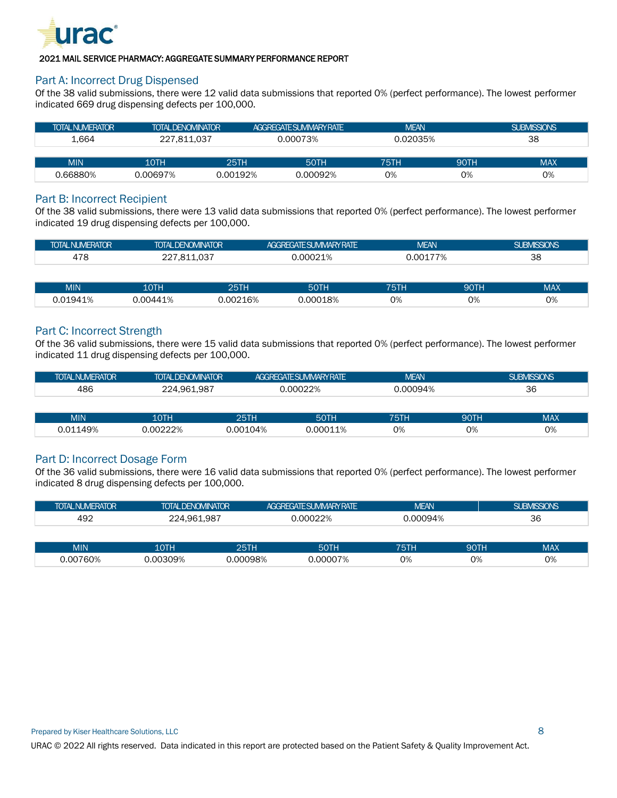

#### Part A: Incorrect Drug Dispensed

Of the 38 valid submissions, there were 12 valid data submissions that reported 0% (perfect performance). The lowest performer indicated 669 drug dispensing defects per 100,000.

| <b>TOTAL NUMERATOR</b> | <b>TOTAL DENOMINATOR</b> |          | AGGREGATE SUMMARY RATE | <b>MEAN</b> |             | <b>SUBMISSIONS</b> |    |
|------------------------|--------------------------|----------|------------------------|-------------|-------------|--------------------|----|
| ⊥.664                  | 227.811.037              | 0.00073% |                        | 0.02035%    |             |                    | 38 |
|                        |                          |          |                        |             |             |                    |    |
| <b>MIN</b>             | <b>10TH</b>              | 25TH     | 50TH                   | 75TH        | <b>90TH</b> | <b>MAX</b>         |    |
| 0.66880%               | 0.00697%                 | 0.00192% | 0.00092%               | 0%          | 0%          | 0%                 |    |

#### Part B: Incorrect Recipient

Of the 38 valid submissions, there were 13 valid data submissions that reported 0% (perfect performance). The lowest performer indicated 19 drug dispensing defects per 100,000.

| <b>TOTAL NUMERATOR</b> | <b>TOTAL DENOMINATOR</b>              | <b>AGGREGATE SUMMARY RATE</b> | <b>MEAN</b> | <b>SUBMISSIONS</b> |
|------------------------|---------------------------------------|-------------------------------|-------------|--------------------|
| 478                    | . ∩ຈ⊺<br>81'<br>، ب ب س س س س س س س س | .00021%                       | 0.00177%    | 38                 |

| <b>MIN</b>      | 10TH   | 25TH         | <b>EATL</b><br><b>POLIT</b> | <b>7 E T L</b><br>20 F | 90TH | <b>MAX</b> |
|-----------------|--------|--------------|-----------------------------|------------------------|------|------------|
| ∣ Q⊿<br>' — / U | 00441% | 0216%<br>ററാ | റററ<br>18%                  | 0%                     | 0%   | 0%         |

#### Part C: Incorrect Strength

Of the 36 valid submissions, there were 15 valid data submissions that reported 0% (perfect performance). The lowest performer indicated 11 drug dispensing defects per 100,000.

| <b>TOTAL NUMERATOR</b> | <b>TOTAL DENOMINATOR</b> | AGGREGATE SUMMARY RATE, | <b>MEAN</b> | <b>BMISSIONS</b><br>SUE |
|------------------------|--------------------------|-------------------------|-------------|-------------------------|
| 486                    | 961.987. ،<br>. Л        | 00022%                  | 0.00094%    | 36                      |

| <b>MIN</b> | 10TH    | OETH     | <b>EATL</b><br>זו טכ | ---- | <b>QOTH</b><br>9U I | <b>MAX</b> |
|------------|---------|----------|----------------------|------|---------------------|------------|
| 0.01149%   | .00222% | 0.00104% | .00011%              | 0%   | 0%                  | 0%         |

#### Part D: Incorrect Dosage Form

Of the 36 valid submissions, there were 16 valid data submissions that reported 0% (perfect performance). The lowest performer indicated 8 drug dispensing defects per 100,000.

| <b>TOTAL NUMERATOR</b> | <b>TOTAL DENOMINATOR</b> |      | <b>AGGREGATE SUMMARY RATE</b> | <b>MEAN</b> |             | <b>SUBMISSIONS</b> |
|------------------------|--------------------------|------|-------------------------------|-------------|-------------|--------------------|
| 492                    | 224.961.987              |      | 0.00022%                      | 0.00094%    |             | 36                 |
|                        |                          |      |                               |             |             |                    |
| <b>MIN</b>             | 10TH                     | 25TH | <b>50TH</b>                   | 75TH        | <b>90TH</b> | <b>MAX</b>         |

0.00760% 0.00309% 0.00098% 0.00007% 0% 0% 0%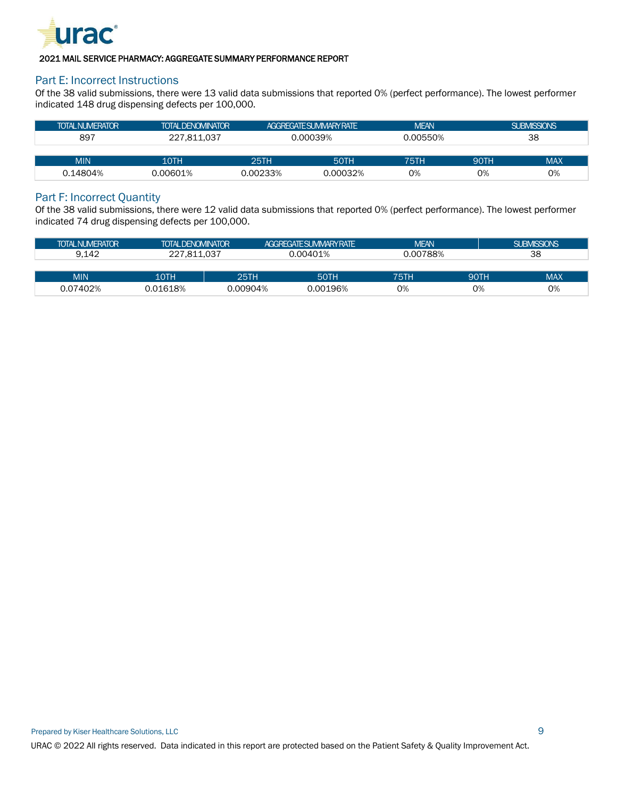

#### Part E: Incorrect Instructions

Of the 38 valid submissions, there were 13 valid data submissions that reported 0% (perfect performance). The lowest performer indicated 148 drug dispensing defects per 100,000.

| <b>TOTAL NUMERATOR</b> | <b>TOTAL DENOMINATOR</b> | AGGREGATE SUMMARY RATE |             | <b>MEAN</b> |             | <b>SUBMISSIONS</b> |
|------------------------|--------------------------|------------------------|-------------|-------------|-------------|--------------------|
| 897                    | 227.811.037              | 0.00039%               |             | 0.00550%    |             | 38                 |
|                        |                          |                        |             |             |             |                    |
| <b>MIN</b>             | 10TH                     | 25TH                   | <b>50TH</b> | 75TH        | <b>90TH</b> | <b>MAX</b>         |
| 0.14804%               | 0.00601%                 | 0.00233%               | 0.00032%    | 0%          | 0%          | 0%                 |

#### Part F: Incorrect Quantity

Of the 38 valid submissions, there were 12 valid data submissions that reported 0% (perfect performance). The lowest performer indicated 74 drug dispensing defects per 100,000.

| <b>TOTAL NUMERATOR</b> | <b>TOTAL DENOMINATOR</b> |          | AGGREGATE SUMMARY RATE |          |      | <b>SUBMISSIONS</b> |  |
|------------------------|--------------------------|----------|------------------------|----------|------|--------------------|--|
| 9.142                  | 227.811.037              |          | 0.00401%               | 0.00788% |      | 38                 |  |
|                        |                          |          |                        |          |      |                    |  |
| <b>MIN</b>             | 10TH                     | 25TH     | <b>50TH</b>            | 75TH     | 90TH | <b>MAX</b>         |  |
| 0.07402%               | 0.01618%                 | 0.00904% | 0.00196%               | 0%       | 0%   | 0%                 |  |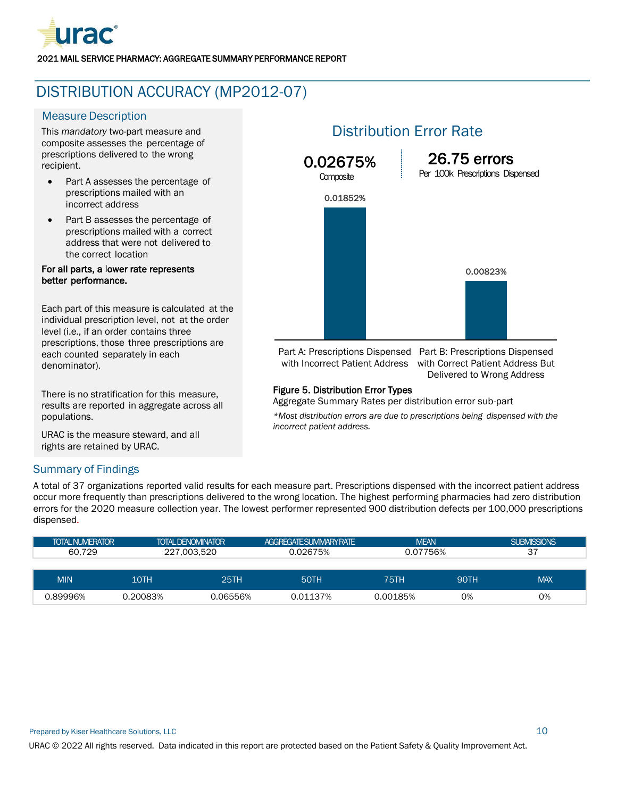

## <span id="page-11-0"></span>DISTRIBUTION ACCURACY (MP2012-07)

#### **Measure Description**

This *mandatory* two-part measure and composite assesses the percentage of prescriptions delivered to the wrong recipient.

- Part A assesses the percentage of prescriptions mailed with an incorrect address
- Part B assesses the percentage of prescriptions mailed with a correct address that were not delivered to the correct location

#### For all parts, a lower rate represents better performance.

Each part of this measure is calculated at the individual prescription level, not at the order level (i.e., if an order contains three prescriptions, those three prescriptions are each counted separately in each denominator).

There is no stratification for this measure, results are reported in aggregate across all populations.

URAC is the measure steward, and all rights are retained by URAC.

## Distribution Error Rate



Part A: Prescriptions Dispensed Part B: Prescriptions Dispensed with Incorrect Patient Address with Correct Patient Address But Delivered to Wrong Address

#### Figure 5. Distribution Error Types

Aggregate Summary Rates per distribution error sub-part

*\*Most distribution errors are due to prescriptions being dispensed with the incorrect patient address.*

#### Summary of Findings

A total of 37 organizations reported valid results for each measure part. Prescriptions dispensed with the incorrect patient address occur more frequently than prescriptions delivered to the wrong location. The highest performing pharmacies had zero distribution errors for the 2020 measure collection year. The lowest performer represented 900 distribution defects per 100,000 prescriptions dispensed.

| <b>TOTAL NUMERATOR</b> |          | <b>TOTAL DENOMINATOR</b> | AGGREGATE SUMMARY RATE | <b>MEAN</b> |      | <b>SUBMISSIONS</b> |
|------------------------|----------|--------------------------|------------------------|-------------|------|--------------------|
| 60.729                 |          | 227.003.520              | 0.02675%               | 0.07756%    |      | 37                 |
|                        |          |                          |                        |             |      |                    |
| <b>MIN</b>             | 10TH     | 25TH                     | <b>50TH</b>            | 75TH        | 90TH | <b>MAX</b>         |
| 0.89996%               | 0.20083% | 0.06556%                 | 0.01137%               | 0.00185%    | 0%   | 0%                 |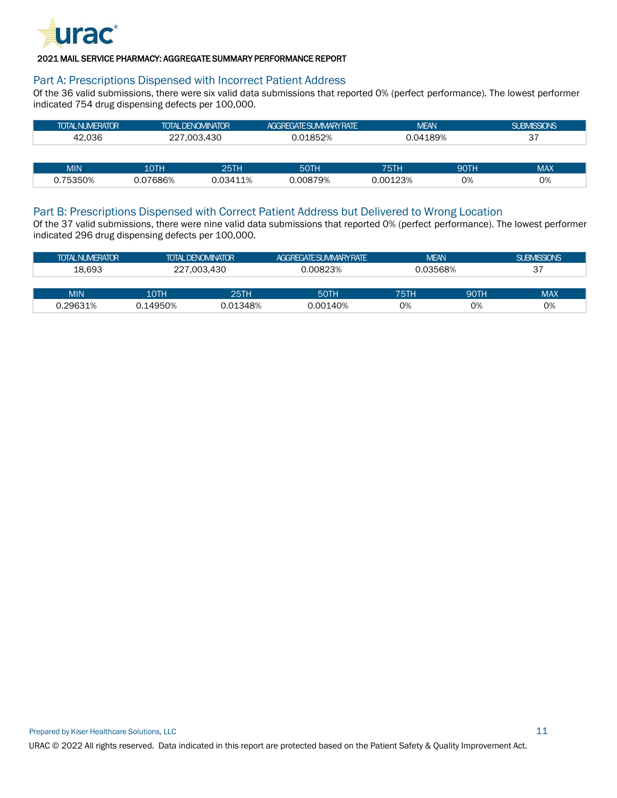

#### Part A: Prescriptions Dispensed with Incorrect Patient Address

Of the 36 valid submissions, there were six valid data submissions that reported 0% (perfect performance). The lowest performer indicated 754 drug dispensing defects per 100,000.

| <b>TOTAL NUMERATOR</b> | <b>TOTAL DENOMINATOR</b> | <b>AGGREGATE SUMMARY RATE</b> | <b>MEAN</b> | <b>SUBMISSIONS</b> |
|------------------------|--------------------------|-------------------------------|-------------|--------------------|
| 42.036                 | 227.003.430              | 1852%                         | 0.04189%    | 37<br>، ب          |
|                        |                          |                               |             |                    |

| MIN    | 10TH   | DETL                        | <b>FATL</b> | ---                       | $\bigcap_{\Pi}$ | MAX |
|--------|--------|-----------------------------|-------------|---------------------------|-----------------|-----|
| 75350% | 07686% | 11%<br>$\sim$ $\sim$ $\sim$ | .00879%     | .000<br><b>001</b><br>23% | 0%              | 0%  |

#### Part B: Prescriptions Dispensed with Correct Patient Address but Delivered to Wrong Location

Of the 37 valid submissions, there were nine valid data submissions that reported 0% (perfect performance). The lowest performer indicated 296 drug dispensing defects per 100,000.

| <b>TOTAL NUMERATOR</b> |          | <b>TOTAL DENOMINATOR</b> | AGGREGATE SUMMARY RATE | <b>MEAN</b> |             | <b>SUBMISSIONS</b> |
|------------------------|----------|--------------------------|------------------------|-------------|-------------|--------------------|
| 18.693                 |          | 227.003.430              | 0.00823%               | 0.03568%    |             | 37                 |
|                        |          |                          |                        |             |             |                    |
| <b>MIN</b>             | 10TH     | 25TH                     | <b>50TH</b>            | 75TH        | <b>90TH</b> | <b>MAX</b>         |
| 0.29631%               | 0.14950% | 0.01348%                 | 0.00140%               | О%          | 0%          | 0%                 |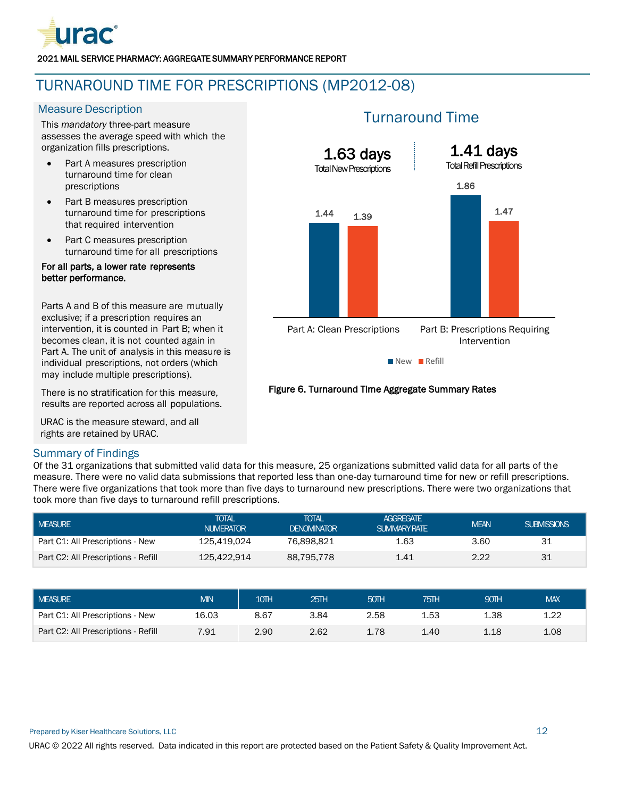

## <span id="page-13-0"></span>TURNAROUND TIME FOR PRESCRIPTIONS (MP2012-08)

#### **Measure Description**

This *mandatory* three-part measure assesses the average speed with which the organization fills prescriptions.

- Part A measures prescription turnaround time for clean prescriptions
- Part B measures prescription turnaround time for prescriptions that required intervention
- Part C measures prescription turnaround time for all prescriptions

#### For all parts, a lower rate represents better performance.

Parts A and B of this measure are mutually exclusive; if a prescription requires an intervention, it is counted in Part B; when it becomes clean, it is not counted again in Part A. The unit of analysis in this measure is individual prescriptions, not orders (which may include multiple prescriptions).

There is no stratification for this measure, results are reported across all populations.

URAC is the measure steward, and all rights are retained by URAC.

#### Summary of Findings

Of the 31 organizations that submitted valid data for this measure, 25 organizations submitted valid data for all parts of the measure. There were no valid data submissions that reported less than one-day turnaround time for new or refill prescriptions. There were five organizations that took more than five days to turnaround new prescriptions. There were two organizations that took more than five days to turnaround refill prescriptions.

| <b>MEASURE</b>                      | <b>TOTAL</b><br><b>NUMERATOR</b> |                           | <b>TOTAL</b><br><b>DENOMINATOR</b> | <b>AGGREGATE</b><br><b>SUMMARY RATE</b> |      | <b>MEAN</b> | <b>SUBMISSIONS</b> |
|-------------------------------------|----------------------------------|---------------------------|------------------------------------|-----------------------------------------|------|-------------|--------------------|
| Part C1: All Prescriptions - New    | 125.419.024                      |                           | 76,898,821                         | 1.63                                    |      | 3.60        | 31                 |
| Part C2: All Prescriptions - Refill |                                  | 125.422.914<br>88,795,778 |                                    | 1.41                                    |      | 2.22        | 31                 |
|                                     |                                  |                           |                                    |                                         |      |             |                    |
| <b>MEASURE</b>                      | <b>MIN</b>                       | 10TH                      | 25TH                               | 50TH                                    | 75TH | 90TH        | <b>MAX</b>         |
| Part C1: All Prescriptions - New    | 16.03                            | 8.67                      | 3.84                               | 2.58                                    | 1.53 | 1.38        | 1.22               |

Part C2: All Prescriptions - Refill 7.91 2.90 2.62 1.78 1.40 1.18 1.08

### Turnaround Time



#### Figure 6. Turnaround Time Aggregate Summary Rates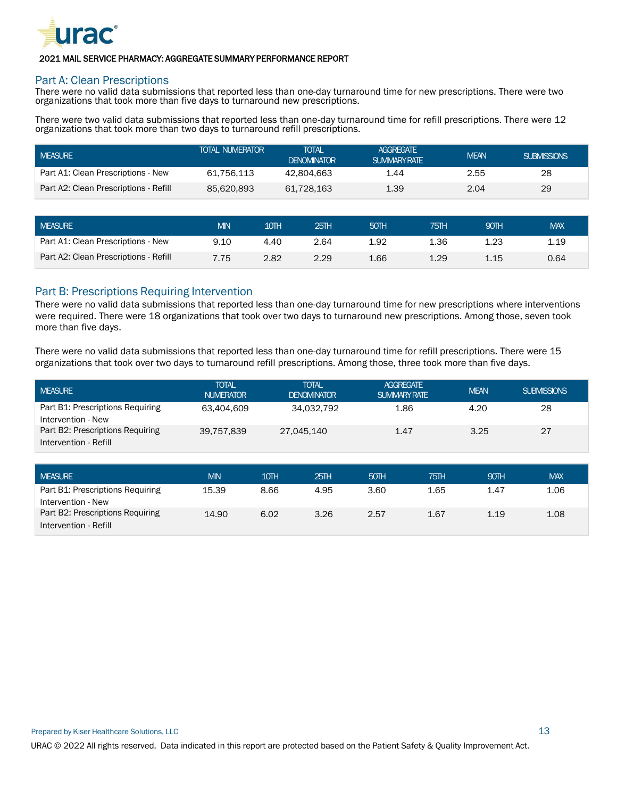

#### Part A: Clean Prescriptions

There were no valid data submissions that reported less than one-day turnaround time for new prescriptions. There were two organizations that took more than five days to turnaround new prescriptions.

There were two valid data submissions that reported less than one-day turnaround time for refill prescriptions. There were 12 organizations that took more than two days to turnaround refill prescriptions.

| I MEASURE                             | <b>TOTAL NUMERATOR</b> | TOTAL<br><b>DENOMINATOR</b> | <b>AGGREGATE</b><br><b>SUMMARY RATE</b> | <b>MEAN</b> | <b>SUBMISSIONS</b> |
|---------------------------------------|------------------------|-----------------------------|-----------------------------------------|-------------|--------------------|
| Part A1: Clean Prescriptions - New    | 61.756.113             | 42.804.663                  | 1.44                                    | 2.55        | 28                 |
| Part A2: Clean Prescriptions - Refill | 85.620.893             | 61.728.163                  | 1.39                                    | 2.04        | 29                 |

| I MEASURE                             | <b>MIN</b> | 10TH | 25H  | 50TH | 75TH | 90TH | <b>MAX</b> |
|---------------------------------------|------------|------|------|------|------|------|------------|
| Part A1: Clean Prescriptions - New    | 9.10       | 4.40 | 2.64 | 1.92 | 1.36 | 1.23 | 1.19       |
| Part A2: Clean Prescriptions - Refill | 7.75       | 2.82 | 2.29 | 1.66 | 1.29 | 1.15 | 0.64       |

#### Part B: Prescriptions Requiring Intervention

There were no valid data submissions that reported less than one-day turnaround time for new prescriptions where interventions were required. There were 18 organizations that took over two days to turnaround new prescriptions. Among those, seven took more than five days.

There were no valid data submissions that reported less than one-day turnaround time for refill prescriptions. There were 15 organizations that took over two days to turnaround refill prescriptions. Among those, three took more than five days.

| I MEASURE                        | <b>TOTAL</b><br><b>NUMERATOR</b> | <b>TOTAL</b><br><b>DENOMINATOR</b> | <b>AGGREGATE</b><br><b>SUMMARY RATE</b> | <b>MEAN</b> | <b>SUBMISSIONS</b> |
|----------------------------------|----------------------------------|------------------------------------|-----------------------------------------|-------------|--------------------|
| Part B1: Prescriptions Requiring | 63.404.609                       | 34.032.792                         | 1.86                                    | 4.20        | 28                 |
| Intervention - New               |                                  |                                    |                                         |             |                    |
| Part B2: Prescriptions Requiring | 39.757.839                       | 27.045.140                         | 1.47                                    | 3.25        | 27                 |
| Intervention - Refill            |                                  |                                    |                                         |             |                    |

| <b>MEASURE</b>                   | <b>MIN</b> | 10TH | 25TH | 50TH | 75TH | 90TH | <b>MAX</b> |
|----------------------------------|------------|------|------|------|------|------|------------|
| Part B1: Prescriptions Requiring | 15.39      | 8.66 | 4.95 | 3.60 | 1.65 | 1.47 | 1.06       |
| Intervention - New               |            |      |      |      |      |      |            |
| Part B2: Prescriptions Requiring | 14.90      | 6.02 | 3.26 | 2.57 | 1.67 | 1.19 | 1.08       |
| Intervention - Refill            |            |      |      |      |      |      |            |